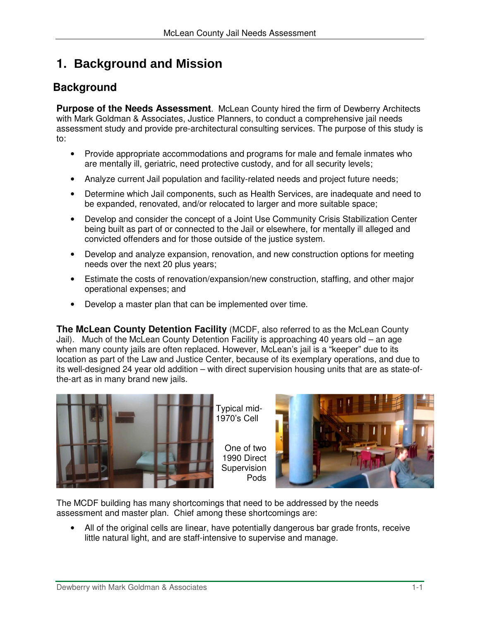# **1. Background and Mission**

## **Background**

**Purpose of the Needs Assessment**. McLean County hired the firm of Dewberry Architects with Mark Goldman & Associates, Justice Planners, to conduct a comprehensive jail needs assessment study and provide pre-architectural consulting services. The purpose of this study is to:

- Provide appropriate accommodations and programs for male and female inmates who are mentally ill, geriatric, need protective custody, and for all security levels;
- Analyze current Jail population and facility-related needs and project future needs;
- Determine which Jail components, such as Health Services, are inadequate and need to be expanded, renovated, and/or relocated to larger and more suitable space;
- Develop and consider the concept of a Joint Use Community Crisis Stabilization Center being built as part of or connected to the Jail or elsewhere, for mentally ill alleged and convicted offenders and for those outside of the justice system.
- Develop and analyze expansion, renovation, and new construction options for meeting needs over the next 20 plus years;
- Estimate the costs of renovation/expansion/new construction, staffing, and other major operational expenses; and
- Develop a master plan that can be implemented over time.

**The McLean County Detention Facility** (MCDF, also referred to as the McLean County Jail). Much of the McLean County Detention Facility is approaching 40 years old – an age when many county jails are often replaced. However, McLean's jail is a "keeper" due to its location as part of the Law and Justice Center, because of its exemplary operations, and due to its well-designed 24 year old addition – with direct supervision housing units that are as state-ofthe-art as in many brand new jails.



Typical mid-1970's Cell

> One of two 1990 Direct **Supervision** Pods



The MCDF building has many shortcomings that need to be addressed by the needs assessment and master plan. Chief among these shortcomings are:

• All of the original cells are linear, have potentially dangerous bar grade fronts, receive little natural light, and are staff-intensive to supervise and manage.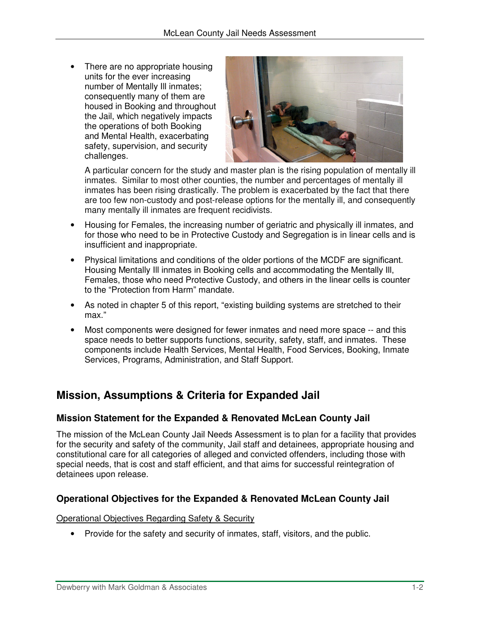There are no appropriate housing units for the ever increasing number of Mentally Ill inmates; consequently many of them are housed in Booking and throughout the Jail, which negatively impacts the operations of both Booking and Mental Health, exacerbating safety, supervision, and security challenges.



A particular concern for the study and master plan is the rising population of mentally ill inmates. Similar to most other counties, the number and percentages of mentally ill inmates has been rising drastically. The problem is exacerbated by the fact that there are too few non-custody and post-release options for the mentally ill, and consequently many mentally ill inmates are frequent recidivists.

- Housing for Females, the increasing number of geriatric and physically ill inmates, and for those who need to be in Protective Custody and Segregation is in linear cells and is insufficient and inappropriate.
- Physical limitations and conditions of the older portions of the MCDF are significant. Housing Mentally Ill inmates in Booking cells and accommodating the Mentally Ill, Females, those who need Protective Custody, and others in the linear cells is counter to the "Protection from Harm" mandate.
- As noted in chapter 5 of this report, "existing building systems are stretched to their max."
- Most components were designed for fewer inmates and need more space -- and this space needs to better supports functions, security, safety, staff, and inmates. These components include Health Services, Mental Health, Food Services, Booking, Inmate Services, Programs, Administration, and Staff Support.

## **Mission, Assumptions & Criteria for Expanded Jail**

## **Mission Statement for the Expanded & Renovated McLean County Jail**

The mission of the McLean County Jail Needs Assessment is to plan for a facility that provides for the security and safety of the community, Jail staff and detainees, appropriate housing and constitutional care for all categories of alleged and convicted offenders, including those with special needs, that is cost and staff efficient, and that aims for successful reintegration of detainees upon release.

## **Operational Objectives for the Expanded & Renovated McLean County Jail**

Operational Objectives Regarding Safety & Security

• Provide for the safety and security of inmates, staff, visitors, and the public.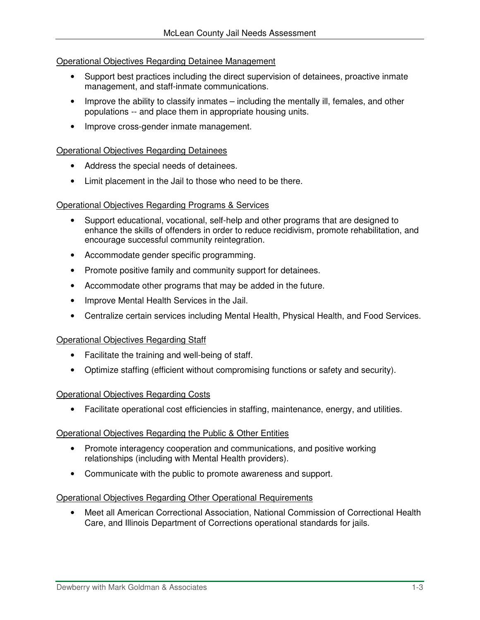#### Operational Objectives Regarding Detainee Management

- Support best practices including the direct supervision of detainees, proactive inmate management, and staff-inmate communications.
- Improve the ability to classify inmates including the mentally ill, females, and other populations -- and place them in appropriate housing units.
- Improve cross-gender inmate management.

#### Operational Objectives Regarding Detainees

- Address the special needs of detainees.
- Limit placement in the Jail to those who need to be there.

#### Operational Objectives Regarding Programs & Services

- Support educational, vocational, self-help and other programs that are designed to enhance the skills of offenders in order to reduce recidivism, promote rehabilitation, and encourage successful community reintegration.
- Accommodate gender specific programming.
- Promote positive family and community support for detainees.
- Accommodate other programs that may be added in the future.
- Improve Mental Health Services in the Jail.
- Centralize certain services including Mental Health, Physical Health, and Food Services.

#### Operational Objectives Regarding Staff

- Facilitate the training and well-being of staff.
- Optimize staffing (efficient without compromising functions or safety and security).

#### Operational Objectives Regarding Costs

• Facilitate operational cost efficiencies in staffing, maintenance, energy, and utilities.

#### Operational Objectives Regarding the Public & Other Entities

- Promote interagency cooperation and communications, and positive working relationships (including with Mental Health providers).
- Communicate with the public to promote awareness and support.

#### Operational Objectives Regarding Other Operational Requirements

• Meet all American Correctional Association, National Commission of Correctional Health Care, and Illinois Department of Corrections operational standards for jails.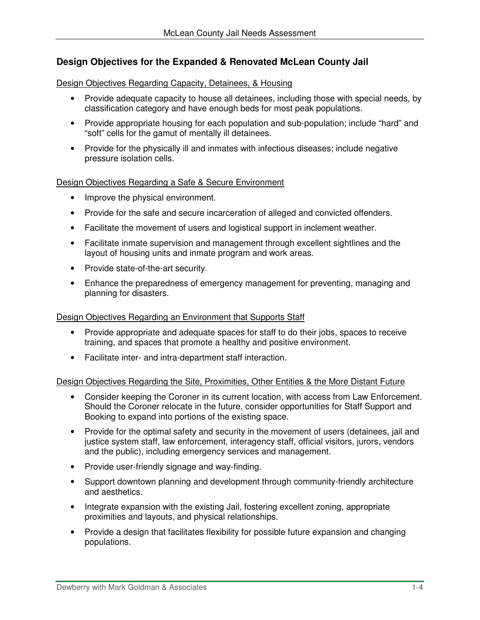### **Design Objectives for the Expanded & Renovated McLean County Jail**

Design Objectives Regarding Capacity, Detainees, & Housing

- Provide adequate capacity to house all detainees, including those with special needs, by classification category and have enough beds for most peak populations.
- Provide appropriate housing for each population and sub-population; include "hard" and "soft" cells for the gamut of mentally ill detainees.
- Provide for the physically ill and inmates with infectious diseases; include negative pressure isolation cells.

#### Design Objectives Regarding a Safe & Secure Environment

- Improve the physical environment.
- Provide for the safe and secure incarceration of alleged and convicted offenders.
- Facilitate the movement of users and logistical support in inclement weather.
- Facilitate inmate supervision and management through excellent sightlines and the layout of housing units and inmate program and work areas.
- Provide state-of-the-art security.
- Enhance the preparedness of emergency management for preventing, managing and planning for disasters.

#### Design Objectives Regarding an Environment that Supports Staff

- Provide appropriate and adequate spaces for staff to do their jobs, spaces to receive training, and spaces that promote a healthy and positive environment.
- Facilitate inter- and intra-department staff interaction.

#### Design Objectives Regarding the Site, Proximities, Other Entities & the More Distant Future

- Consider keeping the Coroner in its current location, with access from Law Enforcement. Should the Coroner relocate in the future, consider opportunities for Staff Support and Booking to expand into portions of the existing space.
- Provide for the optimal safety and security in the movement of users (detainees, jail and justice system staff, law enforcement, interagency staff, official visitors, jurors, vendors and the public), including emergency services and management.
- Provide user-friendly signage and way-finding.
- Support downtown planning and development through community-friendly architecture and aesthetics.
- Integrate expansion with the existing Jail, fostering excellent zoning, appropriate proximities and layouts, and physical relationships.
- Provide a design that facilitates flexibility for possible future expansion and changing populations.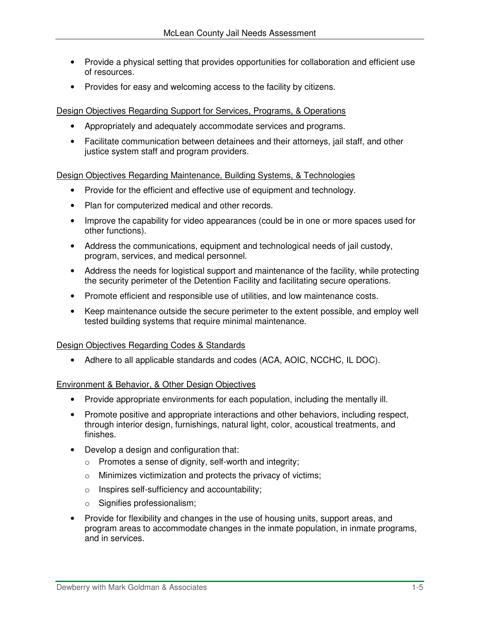- Provide a physical setting that provides opportunities for collaboration and efficient use of resources.
- Provides for easy and welcoming access to the facility by citizens.

Design Objectives Regarding Support for Services, Programs, & Operations

- Appropriately and adequately accommodate services and programs.
- Facilitate communication between detainees and their attorneys, jail staff, and other justice system staff and program providers.

Design Objectives Regarding Maintenance, Building Systems, & Technologies

- Provide for the efficient and effective use of equipment and technology.
- Plan for computerized medical and other records.
- Improve the capability for video appearances (could be in one or more spaces used for other functions).
- Address the communications, equipment and technological needs of jail custody, program, services, and medical personnel.
- Address the needs for logistical support and maintenance of the facility, while protecting the security perimeter of the Detention Facility and facilitating secure operations.
- Promote efficient and responsible use of utilities, and low maintenance costs.
- Keep maintenance outside the secure perimeter to the extent possible, and employ well tested building systems that require minimal maintenance.

#### Design Objectives Regarding Codes & Standards

• Adhere to all applicable standards and codes (ACA, AOIC, NCCHC, IL DOC).

Environment & Behavior, & Other Design Objectives

- Provide appropriate environments for each population, including the mentally ill.
- Promote positive and appropriate interactions and other behaviors, including respect, through interior design, furnishings, natural light, color, acoustical treatments, and finishes.
- Develop a design and configuration that:
	- o Promotes a sense of dignity, self-worth and integrity;
	- o Minimizes victimization and protects the privacy of victims;
	- o Inspires self-sufficiency and accountability;
	- o Signifies professionalism;
- Provide for flexibility and changes in the use of housing units, support areas, and program areas to accommodate changes in the inmate population, in inmate programs, and in services.